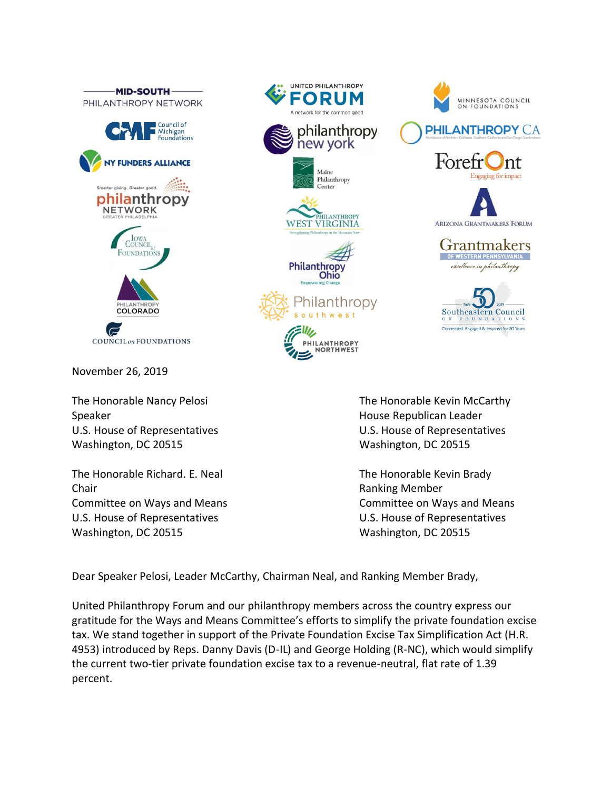

November 26, 2019

Speaker **House Republican Leader Contract Contract Contract Contract Contract Contract Contract Contract Contract Contract Contract Contract Contract Contract Contract Contract Contract Contract Contract Contract Contrac** Washington, DC 20515 Washington, DC 20515

The Honorable Richard. E. Neal The Honorable Kevin Brady Chair **Chair Chair Chair Chair Chair Chair Chair Chair Chair Chair Chair Chair Chair Chair Chair Chair Chair Chair Chair Chair Chair Chair Chair Chair Chair Chair Chair** Committee on Ways and Means Committee on Ways and Means U.S. House of Representatives U.S. House of Representatives Washington, DC 20515 Washington, DC 20515



MINNESOTA COUNCIL<br>ON FOUNDATIONS

**PHILANTHROPY CA** 

**ARIZONA GRANTMAKERS FORUM** 

Grantmakers

Southeastern Council

Connected, Engaged & Inspired for 50 Years

FOUNDATION

OF WESTERN PENNSYLVA excellence in philanthropy

Fore

Dear Speaker Pelosi, Leader McCarthy, Chairman Neal, and Ranking Member Brady,

United Philanthropy Forum and our philanthropy members across the country express our gratitude for the Ways and Means Committee's efforts to simplify the private foundation excise tax. We stand together in support of the Private Foundation Excise Tax Simplification Act (H.R. 4953) introduced by Reps. Danny Davis (D-IL) and George Holding (R-NC), which would simplify the current two-tier private foundation excise tax to a revenue-neutral, flat rate of 1.39 percent.

UNITED PHILANTHROPY

**FORUM** 

A network for the common good

new york

Maine Philanthropy Center

**Philanthropy** Ohio

Elly,

philanthropy

PHILANTHROPY **VIRGINIA** 

Philanthropv

southwest